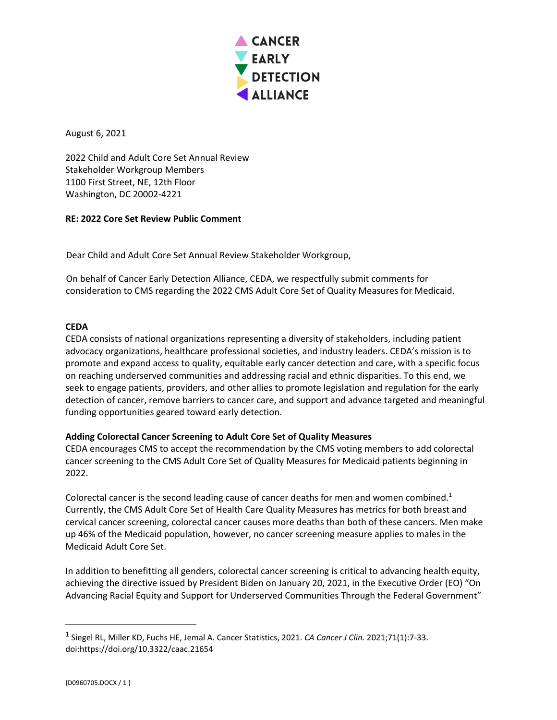

August 6, 2021

2022 Child and Adult Core Set Annual Review Stakeholder Workgroup Members 1100 First Street, NE, 12th Floor Washington, DC 20002-4221

## **RE: 2022 Core Set Review Public Comment**

Dear Child and Adult Core Set Annual Review Stakeholder Workgroup,

On behalf of Cancer Early Detection Alliance, CEDA, we respectfully submit comments for consideration to CMS regarding the 2022 CMS Adult Core Set of Quality Measures for Medicaid.

## **CEDA**

CEDA consists of national organizations representing a diversity of stakeholders, including patient advocacy organizations, healthcare professional societies, and industry leaders. CEDA's mission is to promote and expand access to quality, equitable early cancer detection and care, with a specific focus on reaching underserved communities and addressing racial and ethnic disparities. To this end, we seek to engage patients, providers, and other allies to promote legislation and regulation for the early detection of cancer, remove barriers to cancer care, and support and advance targeted and meaningful funding opportunities geared toward early detection.

## **Adding Colorectal Cancer Screening to Adult Core Set of Quality Measures**

CEDA encourages CMS to accept the recommendation by the CMS voting members to add colorectal cancer screening to the CMS Adult Core Set of Quality Measures for Medicaid patients beginning in 2022.

Colorectal cancer is the second leading cause of cancer deaths for men and women combined.<sup>1</sup> Currently, the CMS Adult Core Set of Health Care Quality Measures has metrics for both breast and cervical cancer screening, colorectal cancer causes more deaths than both of these cancers. Men make up 46% of the Medicaid population, however, no cancer screening measure applies to males in the Medicaid Adult Core Set.

In addition to benefitting all genders, colorectal cancer screening is critical to advancing health equity, achieving the directive issued by President Biden on January 20, 2021, in the Executive Order (EO) "On Advancing Racial Equity and Support for Underserved Communities Through the Federal Government"

<sup>1</sup> Siegel RL, Miller KD, Fuchs HE, Jemal A. Cancer Statistics, 2021. *CA Cancer J Clin*. 2021;71(1):7-33. doi:https://doi.org/10.3322/caac.21654